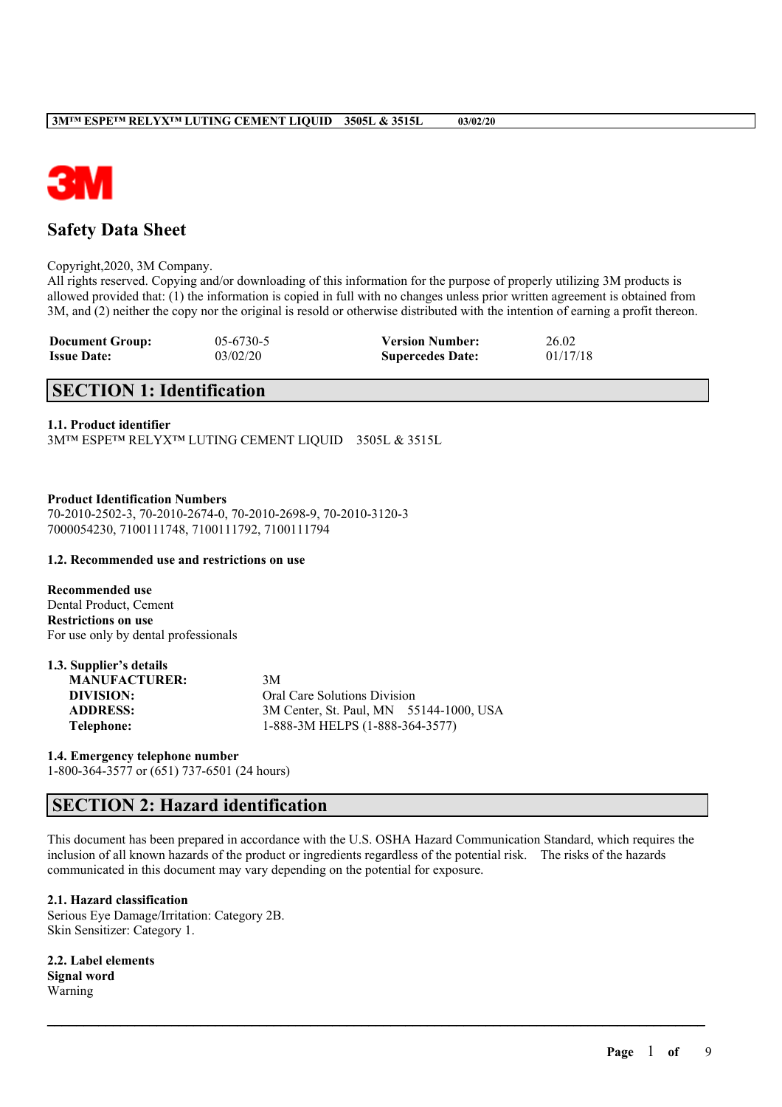

# **Safety Data Sheet**

#### Copyright,2020, 3M Company.

All rights reserved. Copying and/or downloading of this information for the purpose of properly utilizing 3M products is allowed provided that: (1) the information is copied in full with no changes unless prior written agreement is obtained from 3M, and (2) neither the copy nor the original is resold or otherwise distributed with the intention of earning a profit thereon.

| <b>Document Group:</b> | $05-6730-5$ | <b>Version Number:</b>  | 26.02    |
|------------------------|-------------|-------------------------|----------|
| <b>Issue Date:</b>     | 03/02/20    | <b>Supercedes Date:</b> | 01/17/18 |

# **SECTION 1: Identification**

## **1.1. Product identifier**

3M™ ESPE™ RELYX™ LUTING CEMENT LIQUID 3505L & 3515L

#### **Product Identification Numbers**

70-2010-2502-3, 70-2010-2674-0, 70-2010-2698-9, 70-2010-3120-3 7000054230, 7100111748, 7100111792, 7100111794

#### **1.2. Recommended use and restrictions on use**

**Recommended use** Dental Product, Cement **Restrictions on use** For use only by dental professionals

| 1.3. Supplier's details |                                         |
|-------------------------|-----------------------------------------|
| <b>MANUFACTURER:</b>    | 3M                                      |
| DIVISION:               | <b>Oral Care Solutions Division</b>     |
| <b>ADDRESS:</b>         | 3M Center, St. Paul, MN 55144-1000, USA |
| Telephone:              | 1-888-3M HELPS (1-888-364-3577)         |

**1.4. Emergency telephone number**

1-800-364-3577 or (651) 737-6501 (24 hours)

# **SECTION 2: Hazard identification**

This document has been prepared in accordance with the U.S. OSHA Hazard Communication Standard, which requires the inclusion of all known hazards of the product or ingredients regardless of the potential risk. The risks of the hazards communicated in this document may vary depending on the potential for exposure.

 $\mathcal{L}_\mathcal{L} = \mathcal{L}_\mathcal{L} = \mathcal{L}_\mathcal{L} = \mathcal{L}_\mathcal{L} = \mathcal{L}_\mathcal{L} = \mathcal{L}_\mathcal{L} = \mathcal{L}_\mathcal{L} = \mathcal{L}_\mathcal{L} = \mathcal{L}_\mathcal{L} = \mathcal{L}_\mathcal{L} = \mathcal{L}_\mathcal{L} = \mathcal{L}_\mathcal{L} = \mathcal{L}_\mathcal{L} = \mathcal{L}_\mathcal{L} = \mathcal{L}_\mathcal{L} = \mathcal{L}_\mathcal{L} = \mathcal{L}_\mathcal{L}$ 

## **2.1. Hazard classification**

Serious Eye Damage/Irritation: Category 2B. Skin Sensitizer: Category 1.

**2.2. Label elements Signal word** Warning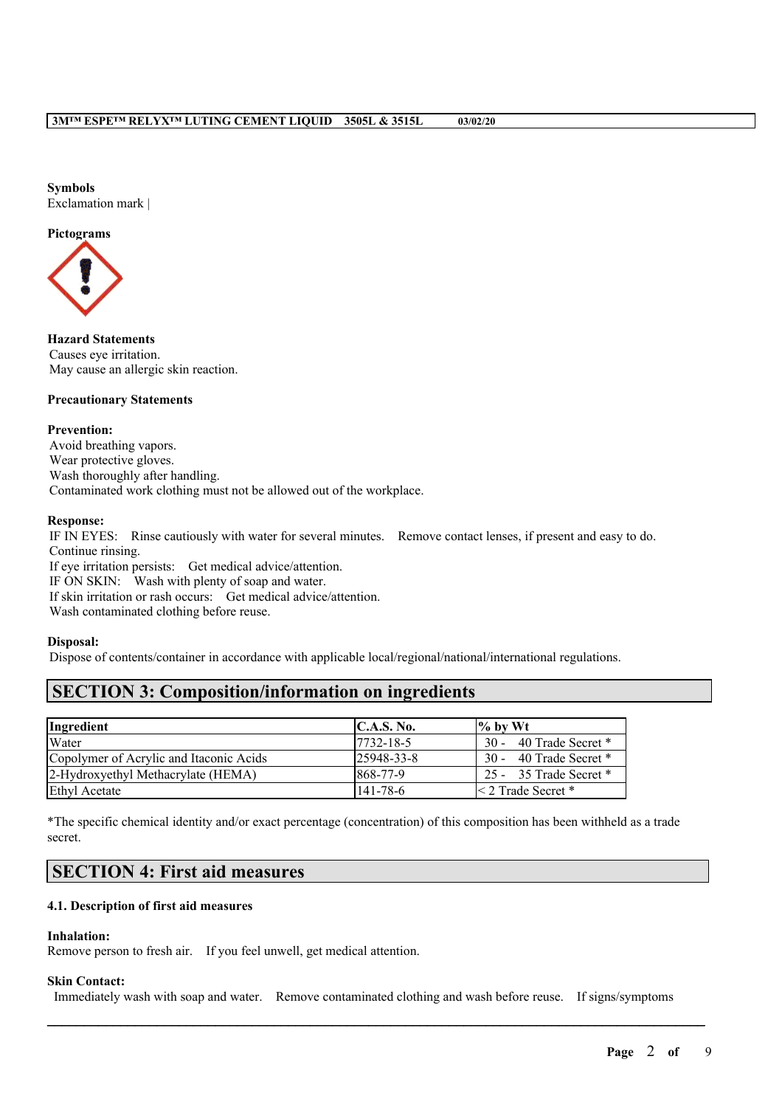**Symbols** Exclamation mark |

### **Pictograms**



**Hazard Statements** Causes eye irritation. May cause an allergic skin reaction.

## **Precautionary Statements**

#### **Prevention:**

Avoid breathing vapors. Wear protective gloves. Wash thoroughly after handling. Contaminated work clothing must not be allowed out of the workplace.

#### **Response:**

IF IN EYES: Rinse cautiously with water for several minutes. Remove contact lenses, if present and easy to do. Continue rinsing.

If eye irritation persists: Get medical advice/attention. IF ON SKIN: Wash with plenty of soap and water. If skin irritation or rash occurs: Get medical advice/attention. Wash contaminated clothing before reuse.

## **Disposal:**

Dispose of contents/container in accordance with applicable local/regional/national/international regulations.

# **SECTION 3: Composition/information on ingredients**

| Ingredient                              | C.A.S. No.        | $\frac{1}{2}$ by Wt     |
|-----------------------------------------|-------------------|-------------------------|
| Water                                   | $17732 - 18 - 5$  | 30 - 40 Trade Secret *  |
| Copolymer of Acrylic and Itaconic Acids | $ 25948 - 33 - 8$ | 30 - 40 Trade Secret *  |
| 2-Hydroxyethyl Methacrylate (HEMA)      | 868-77-9          | 25 - 35 Trade Secret *  |
| Ethyl Acetate                           | $141 - 78 - 6$    | $\leq$ 2 Trade Secret * |

\*The specific chemical identity and/or exact percentage (concentration) of this composition has been withheld as a trade secret.

# **SECTION 4: First aid measures**

## **4.1. Description of first aid measures**

## **Inhalation:**

Remove person to fresh air. If you feel unwell, get medical attention.

#### **Skin Contact:**

Immediately wash with soap and water. Remove contaminated clothing and wash before reuse. If signs/symptoms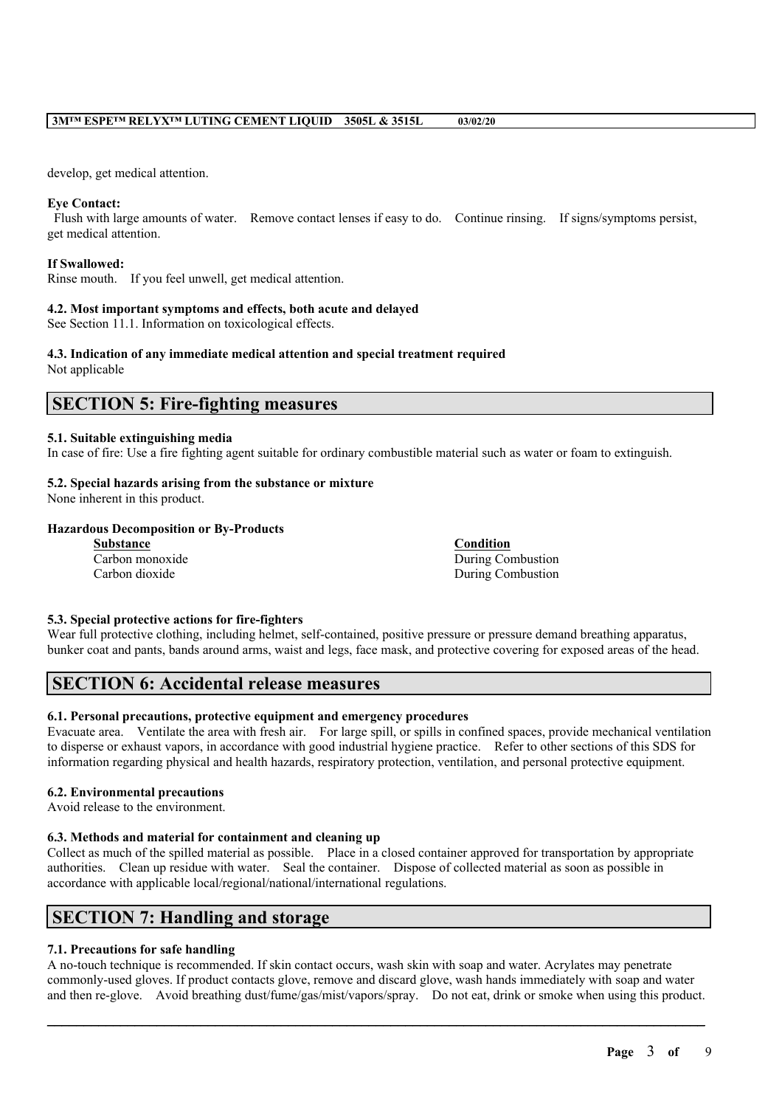develop, get medical attention.

## **Eye Contact:**

Flush with large amounts of water. Remove contact lenses if easy to do. Continue rinsing. If signs/symptoms persist, get medical attention.

#### **If Swallowed:**

Rinse mouth. If you feel unwell, get medical attention.

#### **4.2. Most important symptoms and effects, both acute and delayed**

See Section 11.1. Information on toxicological effects.

## **4.3. Indication of any immediate medical attention and special treatment required**

Not applicable

## **SECTION 5: Fire-fighting measures**

#### **5.1. Suitable extinguishing media**

In case of fire: Use a fire fighting agent suitable for ordinary combustible material such as water or foam to extinguish.

## **5.2. Special hazards arising from the substance or mixture**

None inherent in this product.

## **Hazardous Decomposition or By-Products**

**Substance Condition**

**Carbon monoxide** During Combustion Carbon dioxide During Combustion

## **5.3. Special protective actions for fire-fighters**

Wear full protective clothing, including helmet, self-contained, positive pressure or pressure demand breathing apparatus, bunker coat and pants, bands around arms, waist and legs, face mask, and protective covering for exposed areas of the head.

# **SECTION 6: Accidental release measures**

## **6.1. Personal precautions, protective equipment and emergency procedures**

Evacuate area. Ventilate the area with fresh air. For large spill, or spills in confined spaces, provide mechanical ventilation to disperse or exhaust vapors, in accordance with good industrial hygiene practice. Refer to other sections of this SDS for information regarding physical and health hazards, respiratory protection, ventilation, and personal protective equipment.

## **6.2. Environmental precautions**

Avoid release to the environment.

## **6.3. Methods and material for containment and cleaning up**

Collect as much of the spilled material as possible. Place in a closed container approved for transportation by appropriate authorities. Clean up residue with water. Seal the container. Dispose of collected material as soon as possible in accordance with applicable local/regional/national/international regulations.

# **SECTION 7: Handling and storage**

## **7.1. Precautions for safe handling**

A no-touch technique is recommended. If skin contact occurs, wash skin with soap and water. Acrylates may penetrate commonly-used gloves. If product contacts glove, remove and discard glove, wash hands immediately with soap and water and then re-glove. Avoid breathing dust/fume/gas/mist/vapors/spray. Do not eat, drink or smoke when using this product.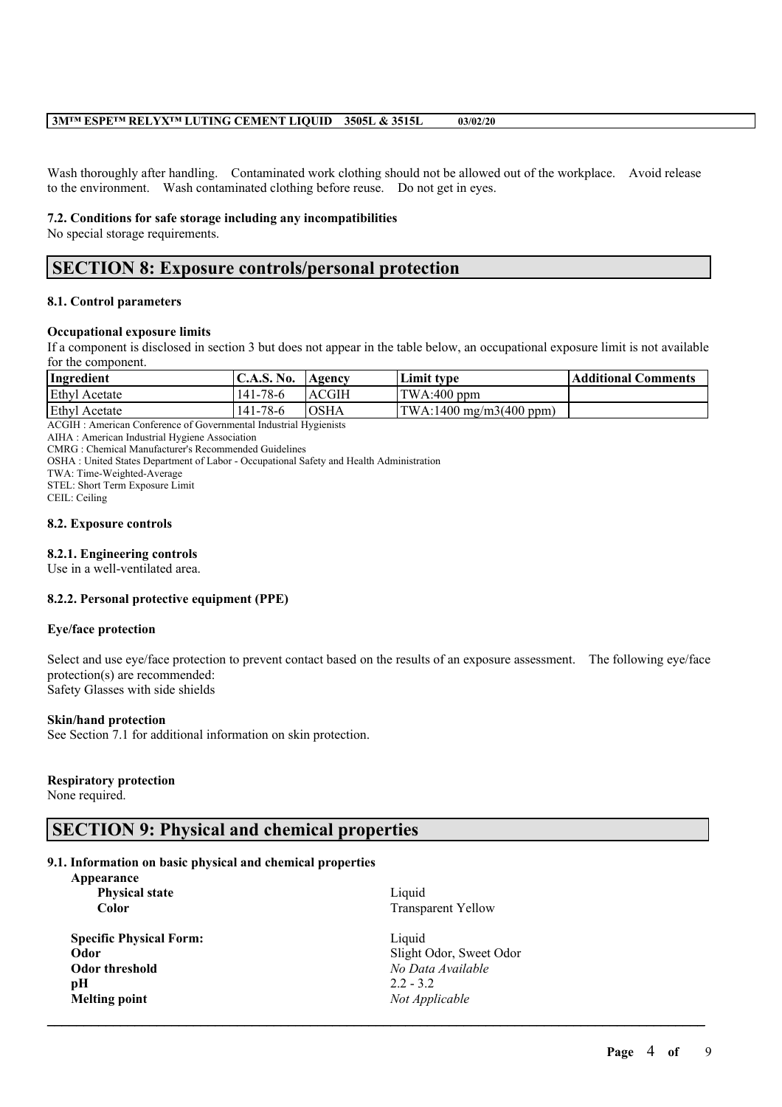Wash thoroughly after handling. Contaminated work clothing should not be allowed out of the workplace. Avoid release to the environment. Wash contaminated clothing before reuse. Do not get in eyes.

#### **7.2. Conditions for safe storage including any incompatibilities**

No special storage requirements.

# **SECTION 8: Exposure controls/personal protection**

#### **8.1. Control parameters**

#### **Occupational exposure limits**

If a component is disclosed in section 3 but does not appear in the table below, an occupational exposure limit is not available for the component.

| Ingredient           | <b>C.A.S. No.</b> | <b>Agency</b> | Limit type               | Additional Comments |
|----------------------|-------------------|---------------|--------------------------|---------------------|
| <b>Ethyl Acetate</b> | $141 - 78 - 6$    | <b>LACGIH</b> | $'TWA:400$ ppm           |                     |
| <b>Ethyl Acetate</b> | 141-78-6          | <b>OSHA</b>   | (TWA:1400 mg/m3(400 ppm) |                     |

ACGIH : American Conference of Governmental Industrial Hygienists

AIHA : American Industrial Hygiene Association

CMRG : Chemical Manufacturer's Recommended Guidelines

OSHA : United States Department of Labor - Occupational Safety and Health Administration

TWA: Time-Weighted-Average

STEL: Short Term Exposure Limit

CEIL: Ceiling

#### **8.2. Exposure controls**

## **8.2.1. Engineering controls**

Use in a well-ventilated area.

#### **8.2.2. Personal protective equipment (PPE)**

#### **Eye/face protection**

Select and use eye/face protection to prevent contact based on the results of an exposure assessment. The following eye/face protection(s) are recommended: Safety Glasses with side shields

#### **Skin/hand protection**

See Section 7.1 for additional information on skin protection.

#### **Respiratory protection**

None required.

# **SECTION 9: Physical and chemical properties**

#### **9.1. Information on basic physical and chemical properties**

| Appearance<br><b>Physical state</b> | Liquid                    |  |
|-------------------------------------|---------------------------|--|
| <b>Color</b>                        | <b>Transparent Yellow</b> |  |
| <b>Specific Physical Form:</b>      | Liquid                    |  |
| Odor                                | Slight Odor, Sweet Odor   |  |
| Odor threshold                      | No Data Available         |  |
| pН                                  | $2.2 - 3.2$               |  |
| <b>Melting point</b>                | Not Applicable            |  |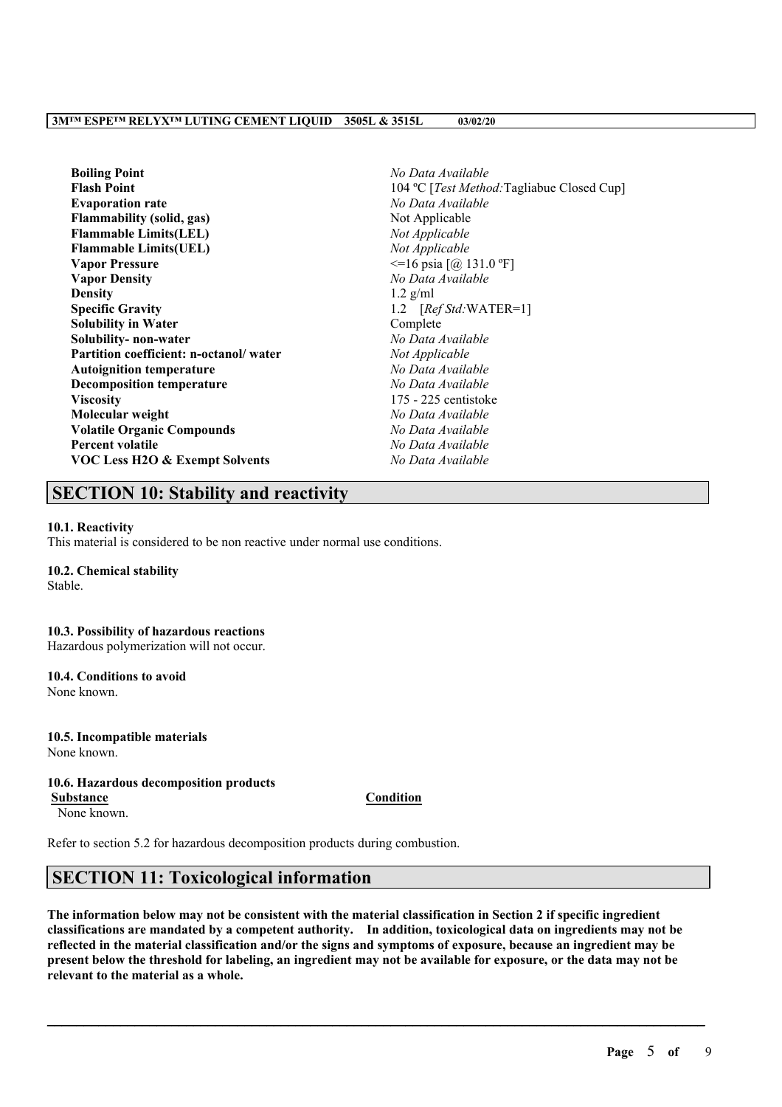| <b>Boiling Point</b>                   | No Data Available                          |
|----------------------------------------|--------------------------------------------|
| <b>Flash Point</b>                     | 104 °C [Test Method: Tagliabue Closed Cup] |
| <b>Evaporation rate</b>                | No Data Available                          |
| <b>Flammability (solid, gas)</b>       | Not Applicable                             |
| <b>Flammable Limits(LEL)</b>           | Not Applicable                             |
| <b>Flammable Limits (UEL)</b>          | Not Applicable                             |
| <b>Vapor Pressure</b>                  | $\le$ =16 psia [@ 131.0 °F]                |
| <b>Vapor Density</b>                   | No Data Available                          |
| <b>Density</b>                         | $1.2$ g/ml                                 |
| <b>Specific Gravity</b>                | 1.2 $[RefStd:WATER=1]$                     |
| <b>Solubility in Water</b>             | Complete                                   |
| Solubility- non-water                  | No Data Available                          |
| Partition coefficient: n-octanol/water | Not Applicable                             |
| <b>Autoignition temperature</b>        | No Data Available                          |
| <b>Decomposition temperature</b>       | No Data Available                          |
| <b>Viscosity</b>                       | 175 - 225 centistoke                       |
| Molecular weight                       | No Data Available                          |
| <b>Volatile Organic Compounds</b>      | No Data Available                          |
| <b>Percent volatile</b>                | No Data Available                          |
| VOC Less H2O & Exempt Solvents         | No Data Available                          |
|                                        |                                            |

# **SECTION 10: Stability and reactivity**

#### **10.1. Reactivity**

This material is considered to be non reactive under normal use conditions.

## **10.2. Chemical stability**

Stable.

## **10.3. Possibility of hazardous reactions**

Hazardous polymerization will not occur.

# **10.4. Conditions to avoid**

None known.

#### **10.5. Incompatible materials** None known.

## **10.6. Hazardous decomposition products**

**Substance Condition**

None known.

Refer to section 5.2 for hazardous decomposition products during combustion.

## **SECTION 11: Toxicological information**

The information below may not be consistent with the material classification in Section 2 if specific ingredient **classifications are mandated by a competent authority. In addition, toxicological data on ingredients may not be** reflected in the material classification and/or the signs and symptoms of exposure, because an ingredient may be present below the threshold for labeling, an ingredient may not be available for exposure, or the data may not be **relevant to the material as a whole.**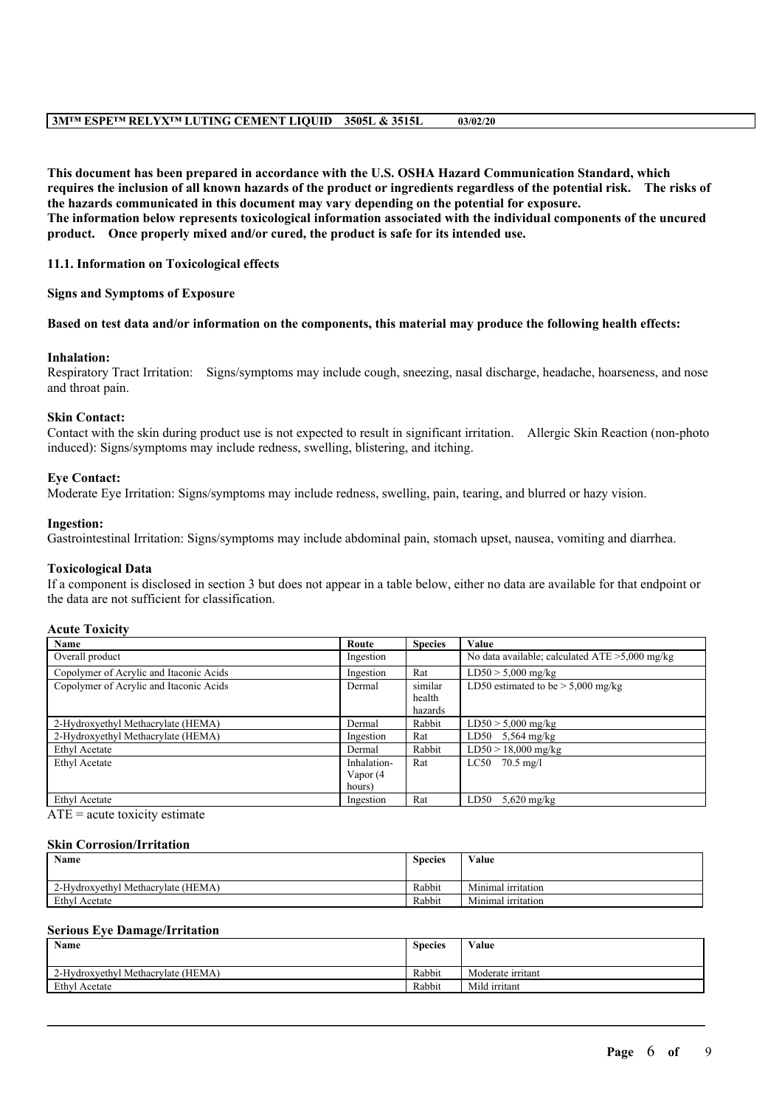**This document has been prepared in accordance with the U.S. OSHA Hazard Communication Standard, which** requires the inclusion of all known hazards of the product or ingredients regardless of the potential risk. The risks of **the hazards communicated in this document may vary depending on the potential for exposure. The information below represents toxicological information associated with the individual components of the uncured product. Once properly mixed and/or cured, the product is safe for its intended use.**

### **11.1. Information on Toxicological effects**

#### **Signs and Symptoms of Exposure**

### Based on test data and/or information on the components, this material may produce the following health effects:

#### **Inhalation:**

Respiratory Tract Irritation: Signs/symptoms may include cough, sneezing, nasal discharge, headache, hoarseness, and nose and throat pain.

### **Skin Contact:**

Contact with the skin during product use is not expected to result in significant irritation. Allergic Skin Reaction (non-photo induced): Signs/symptoms may include redness, swelling, blistering, and itching.

#### **Eye Contact:**

Moderate Eye Irritation: Signs/symptoms may include redness, swelling, pain, tearing, and blurred or hazy vision.

#### **Ingestion:**

Gastrointestinal Irritation: Signs/symptoms may include abdominal pain, stomach upset, nausea, vomiting and diarrhea.

#### **Toxicological Data**

If a component is disclosed in section 3 but does not appear in a table below, either no data are available for that endpoint or the data are not sufficient for classification.

## **Acute Toxicity**

| Name                                    | Route       | <b>Species</b> | Value                                             |
|-----------------------------------------|-------------|----------------|---------------------------------------------------|
| Overall product                         | Ingestion   |                | No data available; calculated $ATE > 5,000$ mg/kg |
| Copolymer of Acrylic and Itaconic Acids | Ingestion   | Rat            | $LD50 > 5,000$ mg/kg                              |
| Copolymer of Acrylic and Itaconic Acids | Dermal      | similar        | LD50 estimated to be $> 5,000$ mg/kg              |
|                                         |             | health         |                                                   |
|                                         |             | hazards        |                                                   |
| 2-Hydroxyethyl Methacrylate (HEMA)      | Dermal      | Rabbit         | $LD50 > 5,000$ mg/kg                              |
| 2-Hydroxyethyl Methacrylate (HEMA)      | Ingestion   | Rat            | $\overline{LD50}$ 5,564 mg/kg                     |
| Ethyl Acetate                           | Dermal      | Rabbit         | $LD50 > 18,000$ mg/kg                             |
| Ethyl Acetate                           | Inhalation- | Rat            | LC50<br>$70.5 \text{ mg/l}$                       |
|                                         | Vapor (4    |                |                                                   |
|                                         | hours)      |                |                                                   |
| Ethyl Acetate                           | Ingestion   | Rat            | LD50<br>$5,620$ mg/kg                             |

 $ATE = acute$  toxicity estimate

#### **Skin Corrosion/Irritation**

| Name                               | <b>Species</b> | Value              |
|------------------------------------|----------------|--------------------|
| 2-Hydroxyethyl Methacrylate (HEMA) | Rabbit         | Minimal irritation |
| <b>Ethyl Acetate</b>               | Rabbit         | Minimal irritation |

## **Serious Eye Damage/Irritation**

| <b>Name</b>                        | <b>Species</b> | Value             |
|------------------------------------|----------------|-------------------|
|                                    |                |                   |
| 2-Hydroxyethyl Methacrylate (HEMA) | Rabbit         | Moderate irritant |
| <b>Ethyl Acetate</b>               | Rabbit         | Mild irritant     |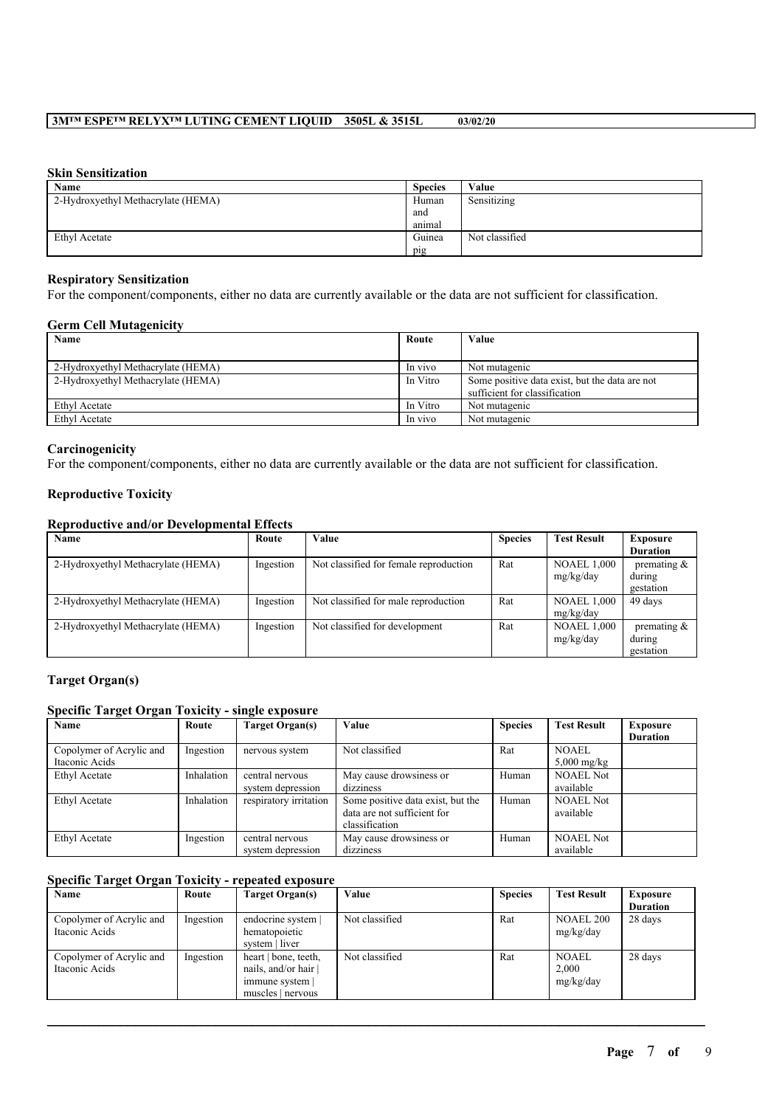### **Skin Sensitization**

| Name                               | <b>Species</b> | Value          |
|------------------------------------|----------------|----------------|
| 2-Hydroxyethyl Methacrylate (HEMA) | Human          | Sensitizing    |
|                                    | and            |                |
|                                    | animal         |                |
| Ethyl Acetate                      | Guinea         | Not classified |
|                                    | pig            |                |

### **Respiratory Sensitization**

For the component/components, either no data are currently available or the data are not sufficient for classification.

#### **Germ Cell Mutagenicity**

| Name                               | Route    | Value                                          |
|------------------------------------|----------|------------------------------------------------|
|                                    |          |                                                |
| 2-Hydroxyethyl Methacrylate (HEMA) | In vivo  | Not mutagenic                                  |
| 2-Hydroxyethyl Methacrylate (HEMA) | In Vitro | Some positive data exist, but the data are not |
|                                    |          | sufficient for classification                  |
| Ethyl Acetate                      | In Vitro | Not mutagenic                                  |
| Ethyl Acetate                      | In vivo  | Not mutagenic                                  |

#### **Carcinogenicity**

For the component/components, either no data are currently available or the data are not sufficient for classification.

## **Reproductive Toxicity**

## **Reproductive and/or Developmental Effects**

| Name                               | Route     | <b>Value</b>                           | <b>Species</b> | <b>Test Result</b> | Exposure        |
|------------------------------------|-----------|----------------------------------------|----------------|--------------------|-----------------|
|                                    |           |                                        |                |                    | <b>Duration</b> |
| 2-Hydroxyethyl Methacrylate (HEMA) | Ingestion | Not classified for female reproduction | Rat            | <b>NOAEL 1,000</b> | premating $\&$  |
|                                    |           |                                        |                | mg/kg/day          | during          |
|                                    |           |                                        |                |                    | gestation       |
| 2-Hydroxyethyl Methacrylate (HEMA) | Ingestion | Not classified for male reproduction   | Rat            | <b>NOAEL 1,000</b> | 49 days         |
|                                    |           |                                        |                | mg/kg/day          |                 |
| 2-Hydroxyethyl Methacrylate (HEMA) | Ingestion | Not classified for development         | Rat            | <b>NOAEL 1,000</b> | premating $\&$  |
|                                    |           |                                        |                | mg/kg/day          | during          |
|                                    |           |                                        |                |                    | gestation       |

## **Target Organ(s)**

## **Specific Target Organ Toxicity - single exposure**

| Name                                       | Route      | Target Organ(s)                      | Value                                                                              | <b>Species</b> | <b>Test Result</b>                    | <b>Exposure</b><br><b>Duration</b> |
|--------------------------------------------|------------|--------------------------------------|------------------------------------------------------------------------------------|----------------|---------------------------------------|------------------------------------|
| Copolymer of Acrylic and<br>Itaconic Acids | Ingestion  | nervous system                       | Not classified                                                                     | Rat            | <b>NOAEL</b><br>$5,000 \text{ mg/kg}$ |                                    |
| Ethyl Acetate                              | Inhalation | central nervous<br>system depression | May cause drowsiness or<br>dizziness                                               | Human          | <b>NOAEL Not</b><br>available         |                                    |
| Ethyl Acetate                              | Inhalation | respiratory irritation               | Some positive data exist, but the<br>data are not sufficient for<br>classification | Human          | <b>NOAEL Not</b><br>available         |                                    |
| Ethyl Acetate                              | Ingestion  | central nervous<br>system depression | May cause drowsiness or<br>dizziness                                               | Human          | <b>NOAEL Not</b><br>available         |                                    |

## **Specific Target Organ Toxicity - repeated exposure**

| Name                     | Route     | Target Organ(s)      | Value          | <b>Species</b> | <b>Test Result</b> | <b>Exposure</b> |
|--------------------------|-----------|----------------------|----------------|----------------|--------------------|-----------------|
|                          |           |                      |                |                |                    | <b>Duration</b> |
| Copolymer of Acrylic and | Ingestion | endocrine system     | Not classified | Rat            | <b>NOAEL 200</b>   | 28 days         |
| Itaconic Acids           |           | hematopoietic        |                |                | mg/kg/day          |                 |
|                          |           | system liver         |                |                |                    |                 |
| Copolymer of Acrylic and | Ingestion | heart   bone, teeth, | Not classified | Rat            | <b>NOAEL</b>       | 28 days         |
| Itaconic Acids           |           | nails, and/or hair   |                |                | 2.000              |                 |
|                          |           | immune system        |                |                | mg/kg/day          |                 |
|                          |           | muscles   nervous    |                |                |                    |                 |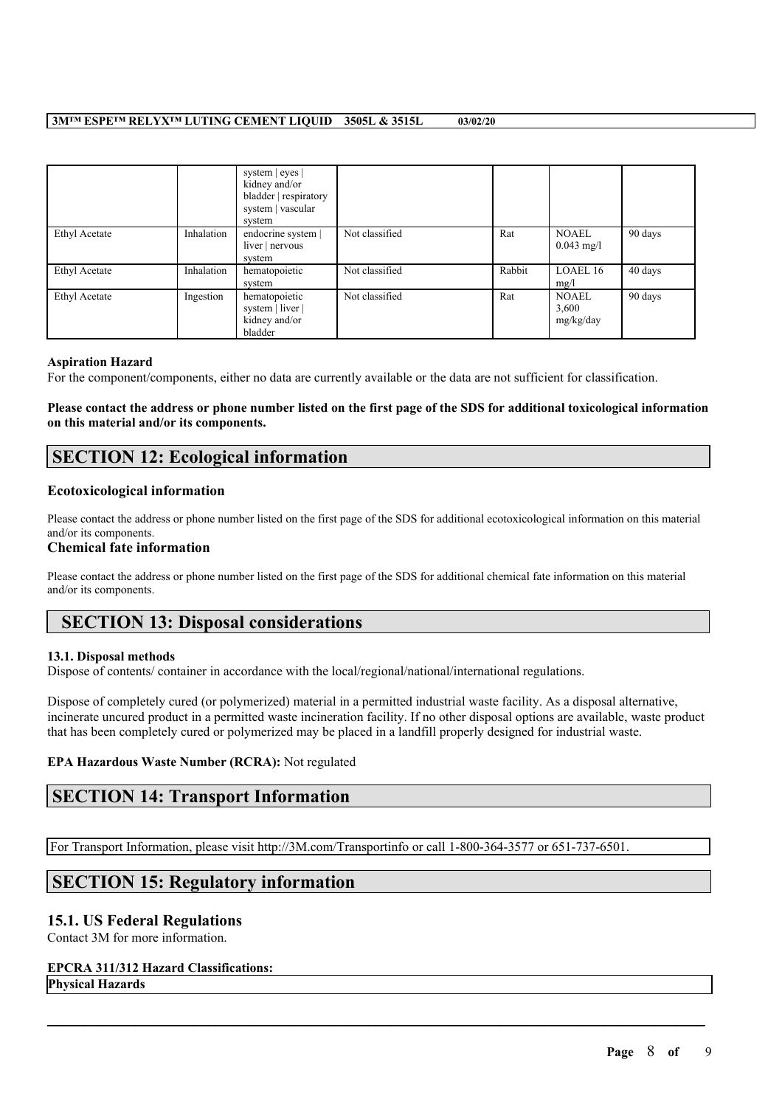|               |            | system $ $ eyes $ $<br>kidney and/or<br>bladder   respiratory<br>system   vascular<br>system |                |        |                                    |         |
|---------------|------------|----------------------------------------------------------------------------------------------|----------------|--------|------------------------------------|---------|
| Ethyl Acetate | Inhalation | endocrine system  <br>liver   nervous<br>system                                              | Not classified | Rat    | <b>NOAEL</b><br>$0.043$ mg/l       | 90 days |
| Ethyl Acetate | Inhalation | hematopoietic<br>system                                                                      | Not classified | Rabbit | LOAEL 16<br>mg/l                   | 40 days |
| Ethyl Acetate | Ingestion  | hematopoietic<br>system   liver  <br>kidney and/or<br>bladder                                | Not classified | Rat    | <b>NOAEL</b><br>3,600<br>mg/kg/day | 90 days |

#### **Aspiration Hazard**

For the component/components, either no data are currently available or the data are not sufficient for classification.

## Please contact the address or phone number listed on the first page of the SDS for additional toxicological information **on this material and/or its components.**

# **SECTION 12: Ecological information**

## **Ecotoxicological information**

Please contact the address or phone number listed on the first page of the SDS for additional ecotoxicological information on this material and/or its components.

### **Chemical fate information**

Please contact the address or phone number listed on the first page of the SDS for additional chemical fate information on this material and/or its components.

# **SECTION 13: Disposal considerations**

## **13.1. Disposal methods**

Dispose of contents/ container in accordance with the local/regional/national/international regulations.

Dispose of completely cured (or polymerized) material in a permitted industrial waste facility. As a disposal alternative, incinerate uncured product in a permitted waste incineration facility. If no other disposal options are available, waste product that has been completely cured or polymerized may be placed in a landfill properly designed for industrial waste.

 $\mathcal{L}_\mathcal{L} = \mathcal{L}_\mathcal{L} = \mathcal{L}_\mathcal{L} = \mathcal{L}_\mathcal{L} = \mathcal{L}_\mathcal{L} = \mathcal{L}_\mathcal{L} = \mathcal{L}_\mathcal{L} = \mathcal{L}_\mathcal{L} = \mathcal{L}_\mathcal{L} = \mathcal{L}_\mathcal{L} = \mathcal{L}_\mathcal{L} = \mathcal{L}_\mathcal{L} = \mathcal{L}_\mathcal{L} = \mathcal{L}_\mathcal{L} = \mathcal{L}_\mathcal{L} = \mathcal{L}_\mathcal{L} = \mathcal{L}_\mathcal{L}$ 

## **EPA Hazardous Waste Number (RCRA):** Not regulated

# **SECTION 14: Transport Information**

For Transport Information, please visit http://3M.com/Transportinfo or call 1-800-364-3577 or 651-737-6501.

# **SECTION 15: Regulatory information**

## **15.1. US Federal Regulations**

Contact 3M for more information.

## **EPCRA 311/312 Hazard Classifications:**

**Physical Hazards**